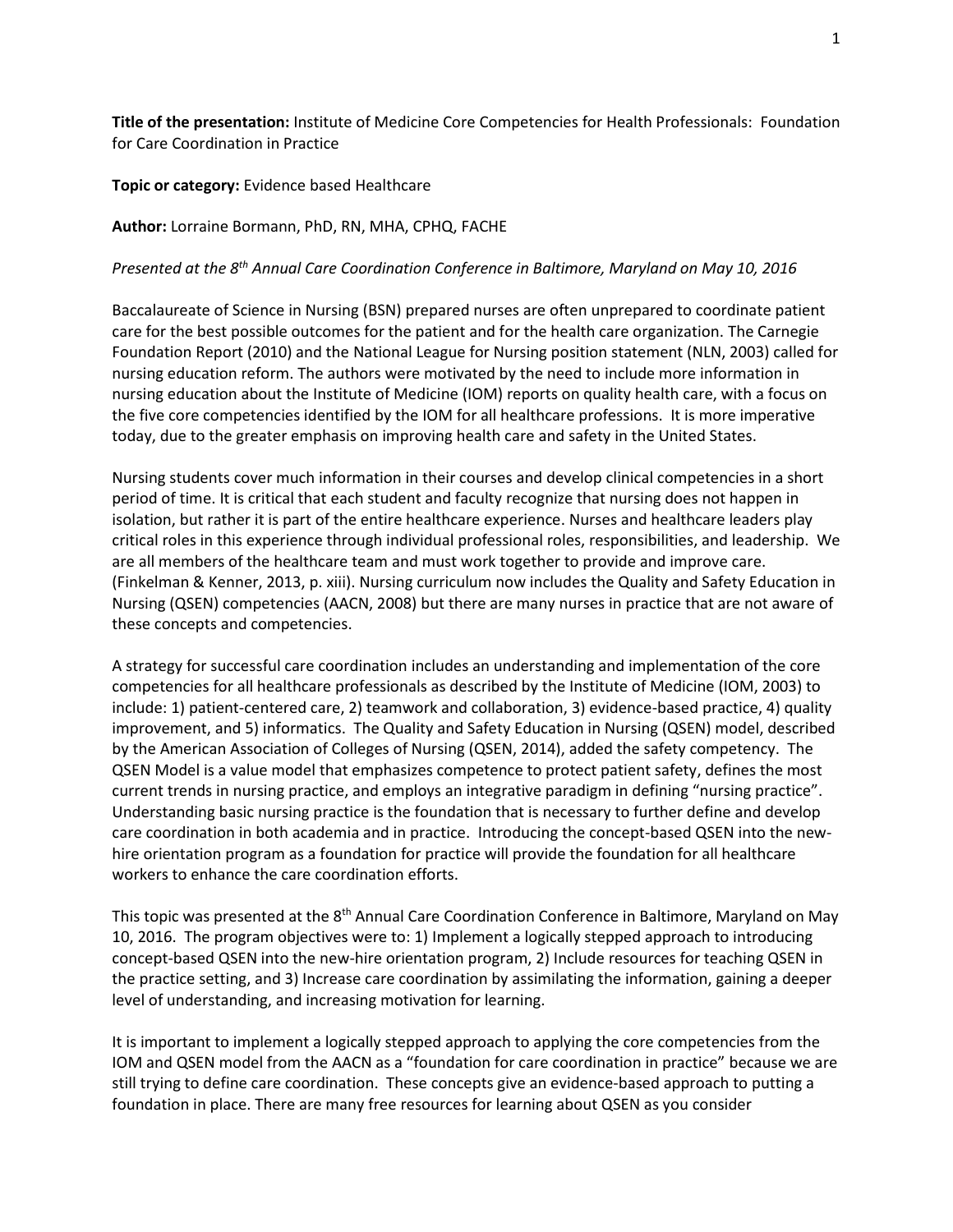**Title of the presentation:** Institute of Medicine Core Competencies for Health Professionals: Foundation for Care Coordination in Practice

**Topic or category:** Evidence based Healthcare

**Author:** Lorraine Bormann, PhD, RN, MHA, CPHQ, FACHE

*Presented at the 8th Annual Care Coordination Conference in Baltimore, Maryland on May 10, 2016*

Baccalaureate of Science in Nursing (BSN) prepared nurses are often unprepared to coordinate patient care for the best possible outcomes for the patient and for the health care organization. The Carnegie Foundation Report (2010) and the National League for Nursing position statement (NLN, 2003) called for nursing education reform. The authors were motivated by the need to include more information in nursing education about the Institute of Medicine (IOM) reports on quality health care, with a focus on the five core competencies identified by the IOM for all healthcare professions. It is more imperative today, due to the greater emphasis on improving health care and safety in the United States.

Nursing students cover much information in their courses and develop clinical competencies in a short period of time. It is critical that each student and faculty recognize that nursing does not happen in isolation, but rather it is part of the entire healthcare experience. Nurses and healthcare leaders play critical roles in this experience through individual professional roles, responsibilities, and leadership. We are all members of the healthcare team and must work together to provide and improve care. (Finkelman & Kenner, 2013, p. xiii). Nursing curriculum now includes the Quality and Safety Education in Nursing (QSEN) competencies (AACN, 2008) but there are many nurses in practice that are not aware of these concepts and competencies.

A strategy for successful care coordination includes an understanding and implementation of the core competencies for all healthcare professionals as described by the Institute of Medicine (IOM, 2003) to include: 1) patient-centered care, 2) teamwork and collaboration, 3) evidence-based practice, 4) quality improvement, and 5) informatics. The Quality and Safety Education in Nursing (QSEN) model, described by the American Association of Colleges of Nursing (QSEN, 2014), added the safety competency. The QSEN Model is a value model that emphasizes competence to protect patient safety, defines the most current trends in nursing practice, and employs an integrative paradigm in defining "nursing practice". Understanding basic nursing practice is the foundation that is necessary to further define and develop care coordination in both academia and in practice. Introducing the concept-based QSEN into the newhire orientation program as a foundation for practice will provide the foundation for all healthcare workers to enhance the care coordination efforts.

This topic was presented at the 8<sup>th</sup> Annual Care Coordination Conference in Baltimore, Maryland on May 10, 2016. The program objectives were to: 1) Implement a logically stepped approach to introducing concept-based QSEN into the new-hire orientation program, 2) Include resources for teaching QSEN in the practice setting, and 3) Increase care coordination by assimilating the information, gaining a deeper level of understanding, and increasing motivation for learning.

It is important to implement a logically stepped approach to applying the core competencies from the IOM and QSEN model from the AACN as a "foundation for care coordination in practice" because we are still trying to define care coordination. These concepts give an evidence-based approach to putting a foundation in place. There are many free resources for learning about QSEN as you consider